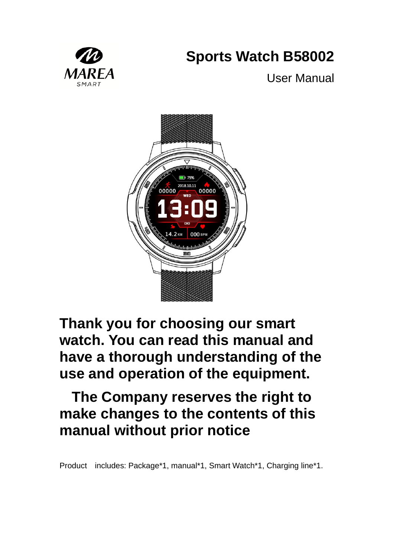# **Sports Watch B58002**



User Manual



**Thank you for choosing our smart watch. You can read this manual and have a thorough understanding of the use and operation of the equipment.**

### **The Company reserves the right to make changes to the contents of this manual without prior notice**

Product includes: Package\*1, manual\*1, Smart Watch\*1, Charging line\*1.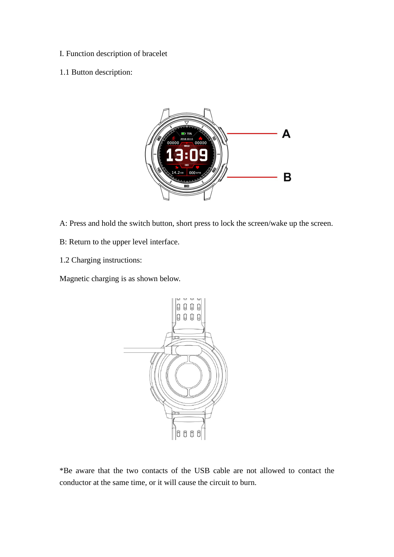- I. Function description of bracelet
- 1.1 Button description:



- A: Press and hold the switch button, short press to lock the screen/wake up the screen.
- B: Return to the upper level interface.
- 1.2 Charging instructions:

Magnetic charging is as shown below.



\*Be aware that the two contacts of the USB cable are not allowed to contact the conductor at the same time, or it will cause the circuit to burn.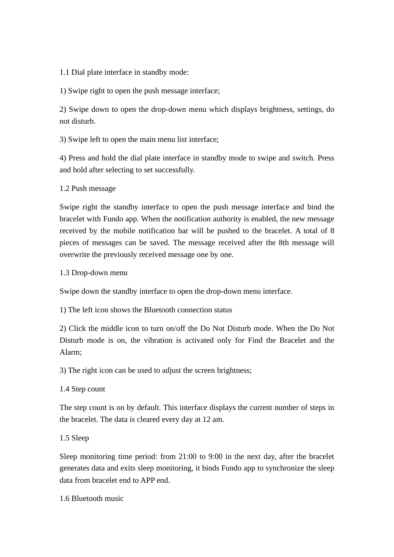1.1 Dial plate interface in standby mode:

1) Swipe right to open the push message interface;

2) Swipe down to open the drop-down menu which displays brightness, settings, do not disturb.

3) Swipe left to open the main menu list interface;

4) Press and hold the dial plate interface in standby mode to swipe and switch. Press and hold after selecting to set successfully.

1.2 Push message

Swipe right the standby interface to open the push message interface and bind the bracelet with Fundo app. When the notification authority is enabled, the new message received by the mobile notification bar will be pushed to the bracelet. A total of 8 pieces of messages can be saved. The message received after the 8th message will overwrite the previously received message one by one.

1.3 Drop-down menu

Swipe down the standby interface to open the drop-down menu interface.

1) The left icon shows the Bluetooth connection status

2) Click the middle icon to turn on/off the Do Not Disturb mode. When the Do Not Disturb mode is on, the vibration is activated only for Find the Bracelet and the Alarm;

3) The right icon can be used to adjust the screen brightness;

1.4 Step count

The step count is on by default. This interface displays the current number of steps in the bracelet. The data is cleared every day at 12 am.

1.5 Sleep

Sleep monitoring time period: from 21:00 to 9:00 in the next day, after the bracelet generates data and exits sleep monitoring, it binds Fundo app to synchronize the sleep data from bracelet end to APP end.

1.6 Bluetooth music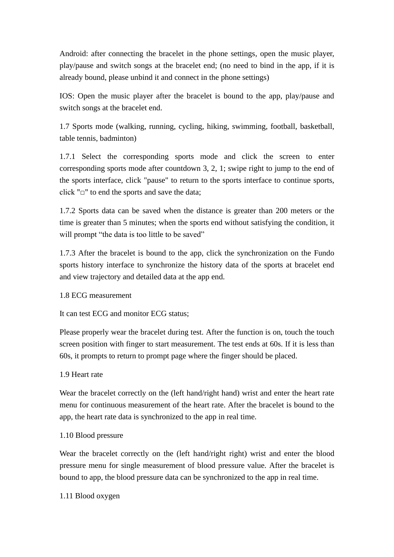Android: after connecting the bracelet in the phone settings, open the music player, play/pause and switch songs at the bracelet end; (no need to bind in the app, if it is already bound, please unbind it and connect in the phone settings)

IOS: Open the music player after the bracelet is bound to the app, play/pause and switch songs at the bracelet end.

1.7 Sports mode (walking, running, cycling, hiking, swimming, football, basketball, table tennis, badminton)

1.7.1 Select the corresponding sports mode and click the screen to enter corresponding sports mode after countdown 3, 2, 1; swipe right to jump to the end of the sports interface, click "pause" to return to the sports interface to continue sports, click " $\square$ " to end the sports and save the data;

1.7.2 Sports data can be saved when the distance is greater than 200 meters or the time is greater than 5 minutes; when the sports end without satisfying the condition, it will prompt "the data is too little to be saved"

1.7.3 After the bracelet is bound to the app, click the synchronization on the Fundo sports history interface to synchronize the history data of the sports at bracelet end and view trajectory and detailed data at the app end.

1.8 ECG measurement

It can test ECG and monitor ECG status;

Please properly wear the bracelet during test. After the function is on, touch the touch screen position with finger to start measurement. The test ends at 60s. If it is less than 60s, it prompts to return to prompt page where the finger should be placed.

#### 1.9 Heart rate

Wear the bracelet correctly on the (left hand/right hand) wrist and enter the heart rate menu for continuous measurement of the heart rate. After the bracelet is bound to the app, the heart rate data is synchronized to the app in real time.

#### 1.10 Blood pressure

Wear the bracelet correctly on the (left hand/right right) wrist and enter the blood pressure menu for single measurement of blood pressure value. After the bracelet is bound to app, the blood pressure data can be synchronized to the app in real time.

1.11 Blood oxygen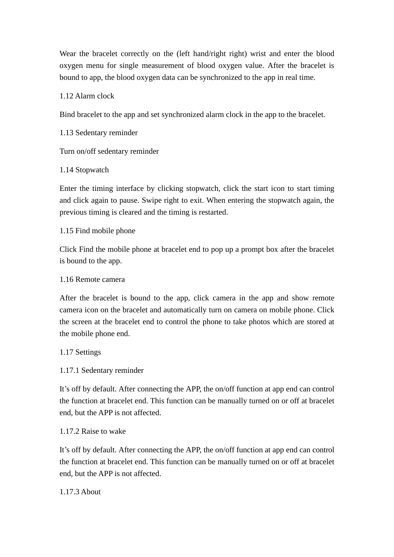Wear the bracelet correctly on the (left hand/right right) wrist and enter the blood oxygen menu for single measurement of blood oxygen value. After the bracelet is bound to app, the blood oxygen data can be synchronized to the app in real time.

1.12 Alarm clock

Bind bracelet to the app and set synchronized alarm clock in the app to the bracelet.

1.13 Sedentary reminder

Turn on/off sedentary reminder

1.14 Stopwatch

Enter the timing interface by clicking stopwatch, click the start icon to start timing and click again to pause. Swipe right to exit. When entering the stopwatch again, the previous timing is cleared and the timing is restarted.

1.15 Find mobile phone

Click Find the mobile phone at bracelet end to pop up a prompt box after the bracelet is bound to the app.

1.16 Remote camera

After the bracelet is bound to the app, click camera in the app and show remote camera icon on the bracelet and automatically turn on camera on mobile phone. Click the screen at the bracelet end to control the phone to take photos which are stored at the mobile phone end.

1.17 Settings

1.17.1 Sedentary reminder

It's off by default. After connecting the APP, the on/off function at app end can control the function at bracelet end. This function can be manually turned on or off at bracelet end, but the APP is not affected.

1.17.2 Raise to wake

It's off by default. After connecting the APP, the on/off function at app end can control the function at bracelet end. This function can be manually turned on or off at bracelet end, but the APP is not affected.

1.17.3 About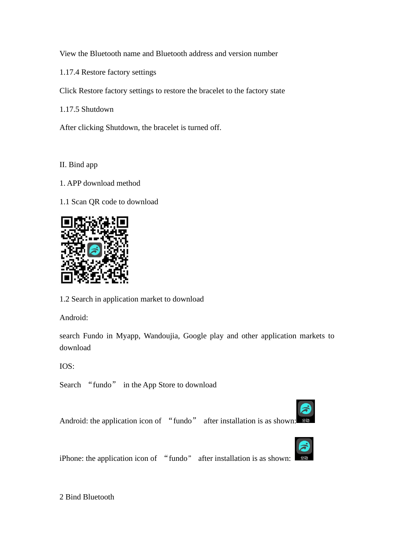View the Bluetooth name and Bluetooth address and version number

1.17.4 Restore factory settings

Click Restore factory settings to restore the bracelet to the factory state

1.17.5 Shutdown

After clicking Shutdown, the bracelet is turned off.

II. Bind app

1. APP download method

1.1 Scan QR code to download



1.2 Search in application market to download

Android:

search Fundo in Myapp, Wandoujia, Google play and other application markets to download

IOS:

Search "fundo" in the App Store to download

Android: the application icon of "fundo" after installation is as shown:



iPhone: the application icon of "fundo" after installation is as shown:

2 Bind Bluetooth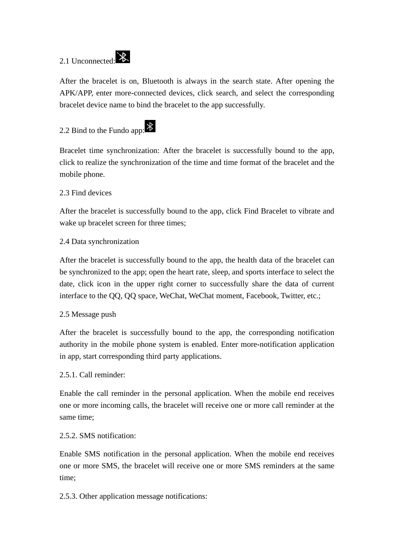## 2.1 Unconnected:



After the bracelet is on, Bluetooth is always in the search state. After opening the APK/APP, enter more-connected devices, click search, and select the corresponding bracelet device name to bind the bracelet to the app successfully.

### 2.2 Bind to the Fundo app:  $\frac{1}{2}$

Bracelet time synchronization: After the bracelet is successfully bound to the app, click to realize the synchronization of the time and time format of the bracelet and the mobile phone.

#### 2.3 Find devices

After the bracelet is successfully bound to the app, click Find Bracelet to vibrate and wake up bracelet screen for three times;

#### 2.4 Data synchronization

After the bracelet is successfully bound to the app, the health data of the bracelet can be synchronized to the app; open the heart rate, sleep, and sports interface to select the date, click icon in the upper right corner to successfully share the data of current interface to the QQ, QQ space, WeChat, WeChat moment, Facebook, Twitter, etc.;

#### 2.5 Message push

After the bracelet is successfully bound to the app, the corresponding notification authority in the mobile phone system is enabled. Enter more-notification application in app, start corresponding third party applications.

#### 2.5.1. Call reminder:

Enable the call reminder in the personal application. When the mobile end receives one or more incoming calls, the bracelet will receive one or more call reminder at the same time;

#### 2.5.2. SMS notification:

Enable SMS notification in the personal application. When the mobile end receives one or more SMS, the bracelet will receive one or more SMS reminders at the same time;

2.5.3. Other application message notifications: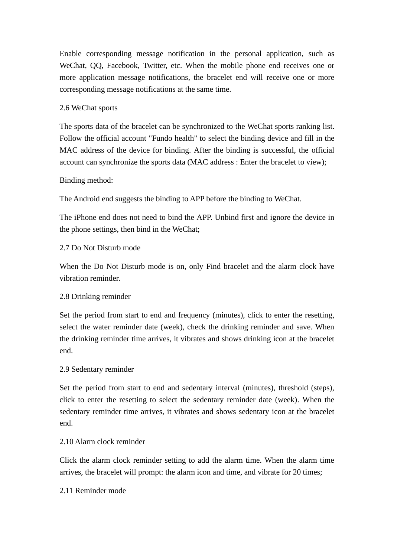Enable corresponding message notification in the personal application, such as WeChat, QQ, Facebook, Twitter, etc. When the mobile phone end receives one or more application message notifications, the bracelet end will receive one or more corresponding message notifications at the same time.

#### 2.6 WeChat sports

The sports data of the bracelet can be synchronized to the WeChat sports ranking list. Follow the official account "Fundo health" to select the binding device and fill in the MAC address of the device for binding. After the binding is successful, the official account can synchronize the sports data (MAC address : Enter the bracelet to view);

#### Binding method:

The Android end suggests the binding to APP before the binding to WeChat.

The iPhone end does not need to bind the APP. Unbind first and ignore the device in the phone settings, then bind in the WeChat;

#### 2.7 Do Not Disturb mode

When the Do Not Disturb mode is on, only Find bracelet and the alarm clock have vibration reminder.

#### 2.8 Drinking reminder

Set the period from start to end and frequency (minutes), click to enter the resetting, select the water reminder date (week), check the drinking reminder and save. When the drinking reminder time arrives, it vibrates and shows drinking icon at the bracelet end.

#### 2.9 Sedentary reminder

Set the period from start to end and sedentary interval (minutes), threshold (steps), click to enter the resetting to select the sedentary reminder date (week). When the sedentary reminder time arrives, it vibrates and shows sedentary icon at the bracelet end.

#### 2.10 Alarm clock reminder

Click the alarm clock reminder setting to add the alarm time. When the alarm time arrives, the bracelet will prompt: the alarm icon and time, and vibrate for 20 times;

#### 2.11 Reminder mode